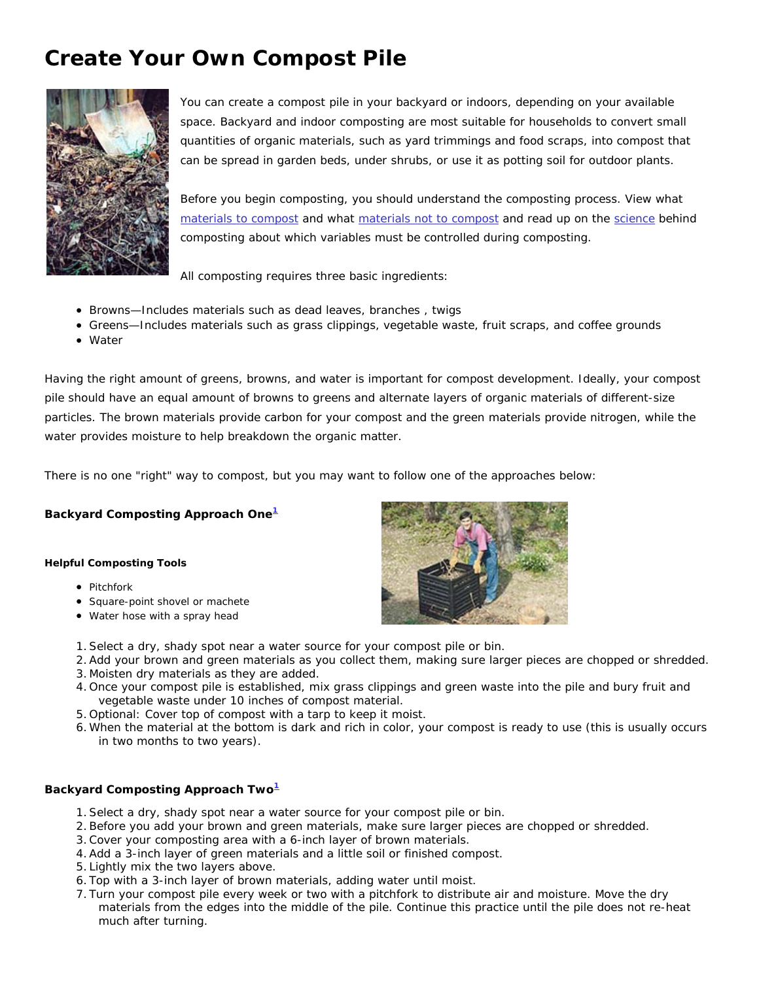# **Create Your Own Compost Pile**



You can create a compost pile in your backyard or indoors, depending on your available space. Backyard and indoor composting are most suitable for households to convert small quantities of organic materials, such as yard trimmings and food scraps, into compost that can be spread in garden beds, under shrubs, or use it as potting soil for outdoor plants.

Before you begin composting, you should understand the composting process. View what materials to compost and what materials not to compost and read up on the science behind composting about which variables must be controlled during composting.

All composting requires three basic ingredients:

- Browns—Includes materials such as dead leaves, branches , twigs
- Greens—Includes materials such as grass clippings, vegetable waste, fruit scraps, and coffee grounds
- Water

Having the right amount of greens, browns, and water is important for compost development. Ideally, your compost pile should have an equal amount of browns to greens and alternate layers of organic materials of different-size particles. The brown materials provide carbon for your compost and the green materials provide nitrogen, while the water provides moisture to help breakdown the organic matter.

There is no one "right" way to compost, but you may want to follow one of the approaches below:

**Backyard Composting Approach One<sup>1</sup>**

### **Helpful Composting Tools**

- Pitchfork
- Square-point shovel or machete
- Water hose with a spray head



- 1.Select a dry, shady spot near a water source for your compost pile or bin.
- 2.Add your brown and green materials as you collect them, making sure larger pieces are chopped or shredded.
- 3. Moisten dry materials as they are added.
- 4. Once your compost pile is established, mix grass clippings and green waste into the pile and bury fruit and vegetable waste under 10 inches of compost material.
- 5. Optional: Cover top of compost with a tarp to keep it moist.
- 6. When the material at the bottom is dark and rich in color, your compost is ready to use (this is usually occurs in two months to two years).

## **Backyard Composting Approach Two1**

- 1.Select a dry, shady spot near a water source for your compost pile or bin.
- 2.Before you add your brown and green materials, make sure larger pieces are chopped or shredded.
- 3.Cover your composting area with a 6-inch layer of brown materials.
- 4.Add a 3-inch layer of green materials and a little soil or finished compost.
- 5. Lightly mix the two layers above.
- 6. Top with a 3-inch layer of brown materials, adding water until moist.
- 7. Turn your compost pile every week or two with a pitchfork to distribute air and moisture. Move the dry materials from the edges into the middle of the pile. Continue this practice until the pile does not re-heat much after turning.